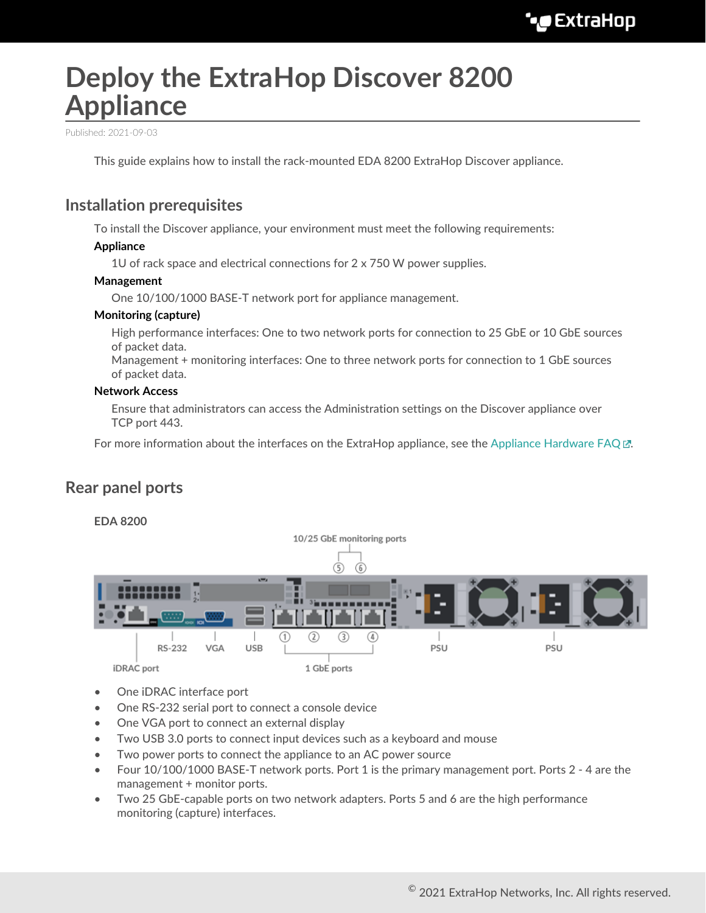# **Deploy the ExtraHop Discover 8200 Appliance**

Published: 2021-09-03

This guide explains how to install the rack-mounted EDA 8200 ExtraHop Discover appliance.

### **Installation prerequisites**

To install the Discover appliance, your environment must meet the following requirements:

#### **Appliance**

1U of rack space and electrical connections for  $2 \times 750$  W power supplies.

#### **Management**

One 10/100/1000 BASE-T network port for appliance management.

#### **Monitoring (capture)**

High performance interfaces: One to two network ports for connection to 25 GbE or 10 GbE sources of packet data.

Management + monitoring interfaces: One to three network ports for connection to 1 GbE sources of packet data.

#### **Network Access**

Ensure that administrators can access the Administration settings on the Discover appliance over TCP port 443.

For more information about the interfaces on the ExtraHop appliance, see the [Appliance Hardware FAQ](https://docs.extrahop.com/8.2/app-hw-faq/#appliance-hardware-faq)  $\mathbb{E}$ .

#### **Rear panel ports**



- One iDRAC interface port
- One RS-232 serial port to connect a console device
- One VGA port to connect an external display
- Two USB 3.0 ports to connect input devices such as a keyboard and mouse
- Two power ports to connect the appliance to an AC power source
- Four 10/100/1000 BASE-T network ports. Port 1 is the primary management port. Ports 2 4 are the management + monitor ports.
- Two 25 GbE-capable ports on two network adapters. Ports 5 and 6 are the high performance monitoring (capture) interfaces.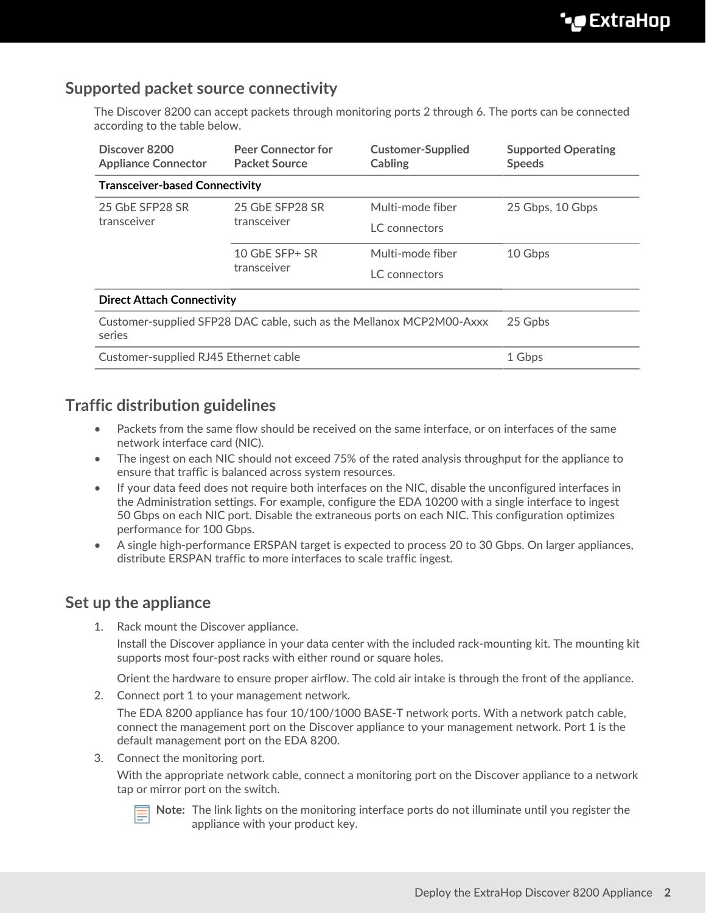### **Supported packet source connectivity**

The Discover 8200 can accept packets through monitoring ports 2 through 6. The ports can be connected according to the table below.

| Discover 8200<br><b>Appliance Connector</b>                                    | <b>Peer Connector for</b><br><b>Packet Source</b> | <b>Customer-Supplied</b><br>Cabling | <b>Supported Operating</b><br><b>Speeds</b> |
|--------------------------------------------------------------------------------|---------------------------------------------------|-------------------------------------|---------------------------------------------|
| <b>Transceiver-based Connectivity</b>                                          |                                                   |                                     |                                             |
| 25 GbE SFP28 SR<br>transceiver                                                 | 25 GbE SFP28 SR<br>transceiver                    | Multi-mode fiber                    | 25 Gbps, 10 Gbps                            |
|                                                                                |                                                   | LC connectors                       |                                             |
|                                                                                | 10 GbE SFP+ SR<br>transceiver                     | Multi-mode fiber                    | 10 Gbps                                     |
|                                                                                |                                                   | LC connectors                       |                                             |
| <b>Direct Attach Connectivity</b>                                              |                                                   |                                     |                                             |
| Customer-supplied SFP28 DAC cable, such as the Mellanox MCP2M00-Axxx<br>series |                                                   |                                     | 25 Gpbs                                     |
| Customer-supplied RJ45 Ethernet cable                                          |                                                   |                                     | 1 Gbps                                      |

### **Traffic distribution guidelines**

- Packets from the same flow should be received on the same interface, or on interfaces of the same network interface card (NIC).
- The ingest on each NIC should not exceed 75% of the rated analysis throughput for the appliance to ensure that traffic is balanced across system resources.
- If your data feed does not require both interfaces on the NIC, disable the unconfigured interfaces in the Administration settings. For example, configure the EDA 10200 with a single interface to ingest 50 Gbps on each NIC port. Disable the extraneous ports on each NIC. This configuration optimizes performance for 100 Gbps.
- A single high-performance ERSPAN target is expected to process 20 to 30 Gbps. On larger appliances, distribute ERSPAN traffic to more interfaces to scale traffic ingest.

### **Set up the appliance**

1. Rack mount the Discover appliance.

Install the Discover appliance in your data center with the included rack-mounting kit. The mounting kit supports most four-post racks with either round or square holes.

Orient the hardware to ensure proper airflow. The cold air intake is through the front of the appliance.

2. Connect port 1 to your management network.

The EDA 8200 appliance has four 10/100/1000 BASE-T network ports. With a network patch cable, connect the management port on the Discover appliance to your management network. Port 1 is the default management port on the EDA 8200.

3. Connect the monitoring port.

With the appropriate network cable, connect a monitoring port on the Discover appliance to a network tap or mirror port on the switch.



**Note:** The link lights on the monitoring interface ports do not illuminate until you register the appliance with your product key.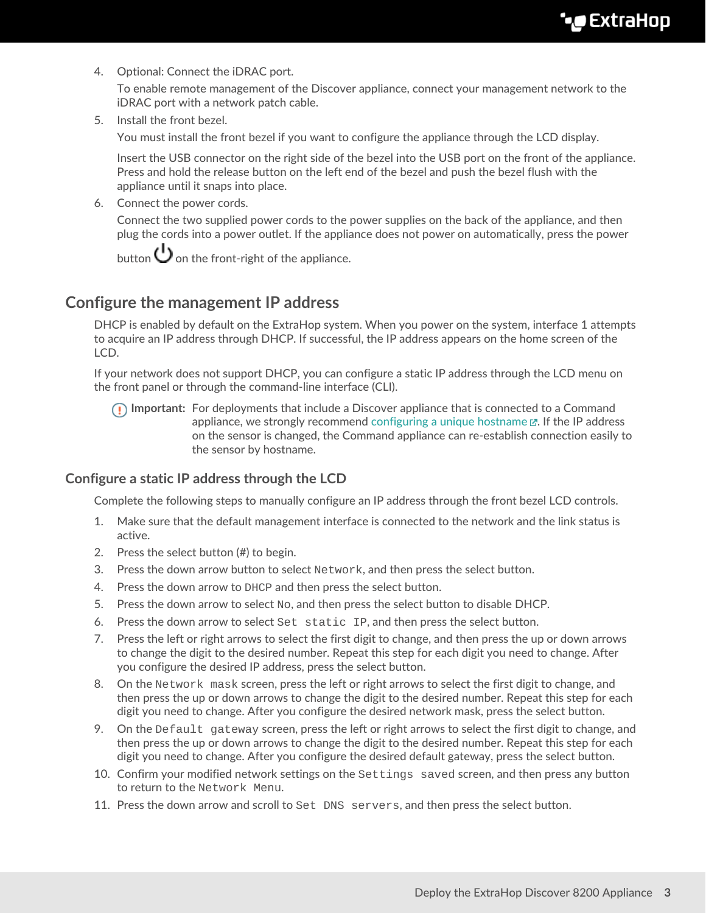4. Optional: Connect the iDRAC port.

To enable remote management of the Discover appliance, connect your management network to the iDRAC port with a network patch cable.

5. Install the front bezel.

You must install the front bezel if you want to configure the appliance through the LCD display.

Insert the USB connector on the right side of the bezel into the USB port on the front of the appliance. Press and hold the release button on the left end of the bezel and push the bezel flush with the appliance until it snaps into place.

6. Connect the power cords.

Connect the two supplied power cords to the power supplies on the back of the appliance, and then plug the cords into a power outlet. If the appliance does not power on automatically, press the power

button  $\bigcup$  on the front-right of the appliance.

### **Configure the management IP address**

DHCP is enabled by default on the ExtraHop system. When you power on the system, interface 1 attempts to acquire an IP address through DHCP. If successful, the IP address appears on the home screen of the LCD.

If your network does not support DHCP, you can configure a static IP address through the LCD menu on the front panel or through the command-line interface (CLI).

**Important:** For deployments that include a Discover appliance that is connected to a Command appliance, we strongly recommend [configuring a unique hostname](https://docs.extrahop.com/8.2/eta-admin-ui-guide/#connectivity)  $\mathbb{E}$ . If the IP address on the sensor is changed, the Command appliance can re-establish connection easily to the sensor by hostname.

#### **Configure a static IP address through the LCD**

Complete the following steps to manually configure an IP address through the front bezel LCD controls.

- 1. Make sure that the default management interface is connected to the network and the link status is active.
- 2. Press the select button (#) to begin.
- 3. Press the down arrow button to select Network, and then press the select button.
- 4. Press the down arrow to DHCP and then press the select button.
- 5. Press the down arrow to select  $N_{\rm O}$ , and then press the select button to disable DHCP.
- 6. Press the down arrow to select Set static IP, and then press the select button.
- 7. Press the left or right arrows to select the first digit to change, and then press the up or down arrows to change the digit to the desired number. Repeat this step for each digit you need to change. After you configure the desired IP address, press the select button.
- 8. On the Network mask screen, press the left or right arrows to select the first digit to change, and then press the up or down arrows to change the digit to the desired number. Repeat this step for each digit you need to change. After you configure the desired network mask, press the select button.
- 9. On the Default gateway screen, press the left or right arrows to select the first digit to change, and then press the up or down arrows to change the digit to the desired number. Repeat this step for each digit you need to change. After you configure the desired default gateway, press the select button.
- 10. Confirm your modified network settings on the Settings saved screen, and then press any button to return to the Network Menu.
- 11. Press the down arrow and scroll to Set DNS servers, and then press the select button.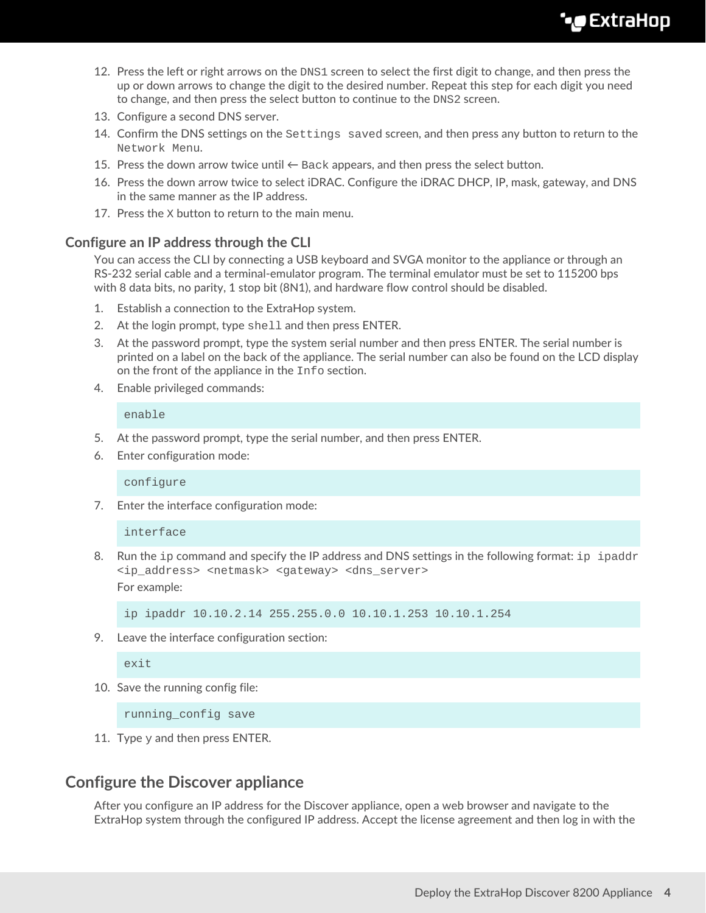- 12. Press the left or right arrows on the DNS1 screen to select the first digit to change, and then press the up or down arrows to change the digit to the desired number. Repeat this step for each digit you need to change, and then press the select button to continue to the DNS2 screen.
- 13. Configure a second DNS server.
- 14. Confirm the DNS settings on the Settings saved screen, and then press any button to return to the Network Menu.
- 15. Press the down arrow twice until  $\leftarrow$  Back appears, and then press the select button.
- 16. Press the down arrow twice to select iDRAC. Configure the iDRAC DHCP, IP, mask, gateway, and DNS in the same manner as the IP address.
- 17. Press the X button to return to the main menu.

#### **Configure an IP address through the CLI**

You can access the CLI by connecting a USB keyboard and SVGA monitor to the appliance or through an RS-232 serial cable and a terminal-emulator program. The terminal emulator must be set to 115200 bps with 8 data bits, no parity, 1 stop bit (8N1), and hardware flow control should be disabled.

- 1. Establish a connection to the ExtraHop system.
- 2. At the login prompt, type shell and then press ENTER.
- 3. At the password prompt, type the system serial number and then press ENTER. The serial number is printed on a label on the back of the appliance. The serial number can also be found on the LCD display on the front of the appliance in the Info section.
- 4. Enable privileged commands:

enable

- 5. At the password prompt, type the serial number, and then press ENTER.
- 6. Enter configuration mode:

configure

7. Enter the interface configuration mode:

interface

8. Run the ip command and specify the IP address and DNS settings in the following format: ip ipaddr <ip\_address> <netmask> <gateway> <dns\_server> For example:

ip ipaddr 10.10.2.14 255.255.0.0 10.10.1.253 10.10.1.254

9. Leave the interface configuration section:

exit

10. Save the running config file:

running\_config save

11. Type  $y$  and then press ENTER.

### **Configure the Discover appliance**

After you configure an IP address for the Discover appliance, open a web browser and navigate to the ExtraHop system through the configured IP address. Accept the license agreement and then log in with the